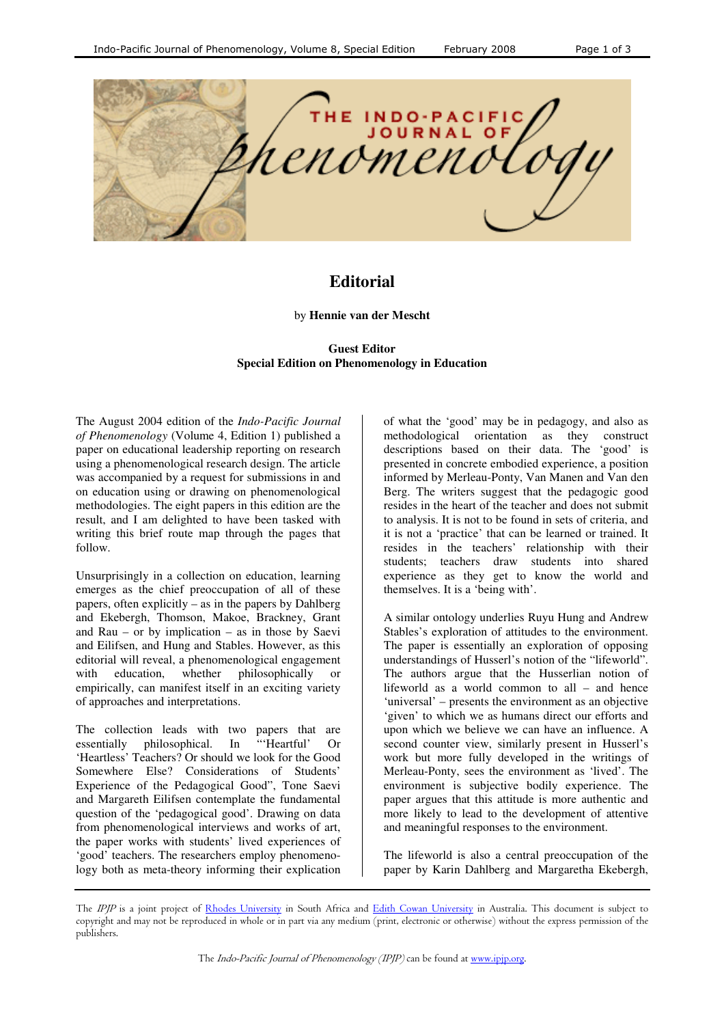

## **Editorial**

by **Hennie van der Mescht** 

## **Guest Editor Special Edition on Phenomenology in Education**

The August 2004 edition of the *Indo-Pacific Journal of Phenomenology* (Volume 4, Edition 1) published a paper on educational leadership reporting on research using a phenomenological research design. The article was accompanied by a request for submissions in and on education using or drawing on phenomenological methodologies. The eight papers in this edition are the result, and I am delighted to have been tasked with writing this brief route map through the pages that follow.

Unsurprisingly in a collection on education, learning emerges as the chief preoccupation of all of these papers, often explicitly – as in the papers by Dahlberg and Ekebergh, Thomson, Makoe, Brackney, Grant and Rau – or by implication – as in those by Saevi and Eilifsen, and Hung and Stables. However, as this editorial will reveal, a phenomenological engagement with education, whether philosophically or empirically, can manifest itself in an exciting variety of approaches and interpretations.

The collection leads with two papers that are essentially philosophical. In "Heartful' Or essentially philosophical. In "'Heartful' Or 'Heartless' Teachers? Or should we look for the Good Somewhere Else? Considerations of Students' Experience of the Pedagogical Good", Tone Saevi and Margareth Eilifsen contemplate the fundamental question of the 'pedagogical good'. Drawing on data from phenomenological interviews and works of art, the paper works with students' lived experiences of 'good' teachers. The researchers employ phenomenology both as meta-theory informing their explication

of what the 'good' may be in pedagogy, and also as methodological orientation as they construct descriptions based on their data. The 'good' is presented in concrete embodied experience, a position informed by Merleau-Ponty, Van Manen and Van den Berg. The writers suggest that the pedagogic good resides in the heart of the teacher and does not submit to analysis. It is not to be found in sets of criteria, and it is not a 'practice' that can be learned or trained. It resides in the teachers' relationship with their students; teachers draw students into shared experience as they get to know the world and themselves. It is a 'being with'.

A similar ontology underlies Ruyu Hung and Andrew Stables's exploration of attitudes to the environment. The paper is essentially an exploration of opposing understandings of Husserl's notion of the "lifeworld". The authors argue that the Husserlian notion of lifeworld as a world common to all – and hence 'universal' – presents the environment as an objective 'given' to which we as humans direct our efforts and upon which we believe we can have an influence. A second counter view, similarly present in Husserl's work but more fully developed in the writings of Merleau-Ponty, sees the environment as 'lived'. The environment is subjective bodily experience. The paper argues that this attitude is more authentic and more likely to lead to the development of attentive and meaningful responses to the environment.

The lifeworld is also a central preoccupation of the paper by Karin Dahlberg and Margaretha Ekebergh,

The IPJP is a joint project of Rhodes University in South Africa and Edith Cowan University in Australia. This document is subject to copyright and may not be reproduced in whole or in part via any medium (print, electronic or otherwise) without the express permission of the publishers.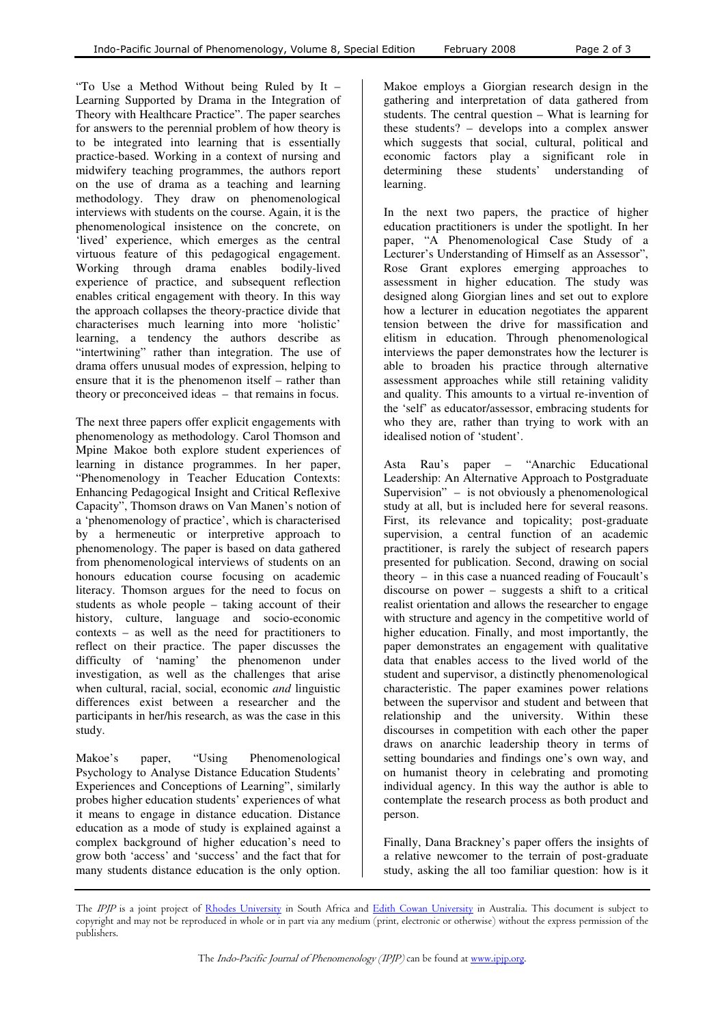"To Use a Method Without being Ruled by It – Learning Supported by Drama in the Integration of Theory with Healthcare Practice". The paper searches for answers to the perennial problem of how theory is to be integrated into learning that is essentially practice-based. Working in a context of nursing and midwifery teaching programmes, the authors report on the use of drama as a teaching and learning methodology. They draw on phenomenological interviews with students on the course. Again, it is the phenomenological insistence on the concrete, on 'lived' experience, which emerges as the central virtuous feature of this pedagogical engagement. Working through drama enables bodily-lived experience of practice, and subsequent reflection enables critical engagement with theory. In this way the approach collapses the theory-practice divide that characterises much learning into more 'holistic' learning, a tendency the authors describe as "intertwining" rather than integration. The use of drama offers unusual modes of expression, helping to ensure that it is the phenomenon itself – rather than theory or preconceived ideas – that remains in focus.

The next three papers offer explicit engagements with phenomenology as methodology. Carol Thomson and Mpine Makoe both explore student experiences of learning in distance programmes. In her paper, "Phenomenology in Teacher Education Contexts: Enhancing Pedagogical Insight and Critical Reflexive Capacity", Thomson draws on Van Manen's notion of a 'phenomenology of practice', which is characterised by a hermeneutic or interpretive approach to phenomenology. The paper is based on data gathered from phenomenological interviews of students on an honours education course focusing on academic literacy. Thomson argues for the need to focus on students as whole people – taking account of their history, culture, language and socio-economic contexts – as well as the need for practitioners to reflect on their practice. The paper discusses the difficulty of 'naming' the phenomenon under investigation, as well as the challenges that arise when cultural, racial, social, economic *and* linguistic differences exist between a researcher and the participants in her/his research, as was the case in this study.

Makoe's paper, "Using Phenomenological Psychology to Analyse Distance Education Students' Experiences and Conceptions of Learning", similarly probes higher education students' experiences of what it means to engage in distance education. Distance education as a mode of study is explained against a complex background of higher education's need to grow both 'access' and 'success' and the fact that for many students distance education is the only option.

Makoe employs a Giorgian research design in the gathering and interpretation of data gathered from students. The central question – What is learning for these students? – develops into a complex answer which suggests that social, cultural, political and economic factors play a significant role in determining these students' understanding of learning.

In the next two papers, the practice of higher education practitioners is under the spotlight. In her paper, "A Phenomenological Case Study of a Lecturer's Understanding of Himself as an Assessor", Rose Grant explores emerging approaches to assessment in higher education. The study was designed along Giorgian lines and set out to explore how a lecturer in education negotiates the apparent tension between the drive for massification and elitism in education. Through phenomenological interviews the paper demonstrates how the lecturer is able to broaden his practice through alternative assessment approaches while still retaining validity and quality. This amounts to a virtual re-invention of the 'self' as educator/assessor, embracing students for who they are, rather than trying to work with an idealised notion of 'student'.

Asta Rau's paper – "Anarchic Educational Leadership: An Alternative Approach to Postgraduate Supervision" – is not obviously a phenomenological study at all, but is included here for several reasons. First, its relevance and topicality; post-graduate supervision, a central function of an academic practitioner, is rarely the subject of research papers presented for publication. Second, drawing on social theory – in this case a nuanced reading of Foucault's discourse on power – suggests a shift to a critical realist orientation and allows the researcher to engage with structure and agency in the competitive world of higher education. Finally, and most importantly, the paper demonstrates an engagement with qualitative data that enables access to the lived world of the student and supervisor, a distinctly phenomenological characteristic. The paper examines power relations between the supervisor and student and between that relationship and the university. Within these discourses in competition with each other the paper draws on anarchic leadership theory in terms of setting boundaries and findings one's own way, and on humanist theory in celebrating and promoting individual agency. In this way the author is able to contemplate the research process as both product and person.

Finally, Dana Brackney's paper offers the insights of a relative newcomer to the terrain of post-graduate study, asking the all too familiar question: how is it

The IPJP is a joint project of Rhodes University in South Africa and Edith Cowan University in Australia. This document is subject to copyright and may not be reproduced in whole or in part via any medium (print, electronic or otherwise) without the express permission of the publishers.